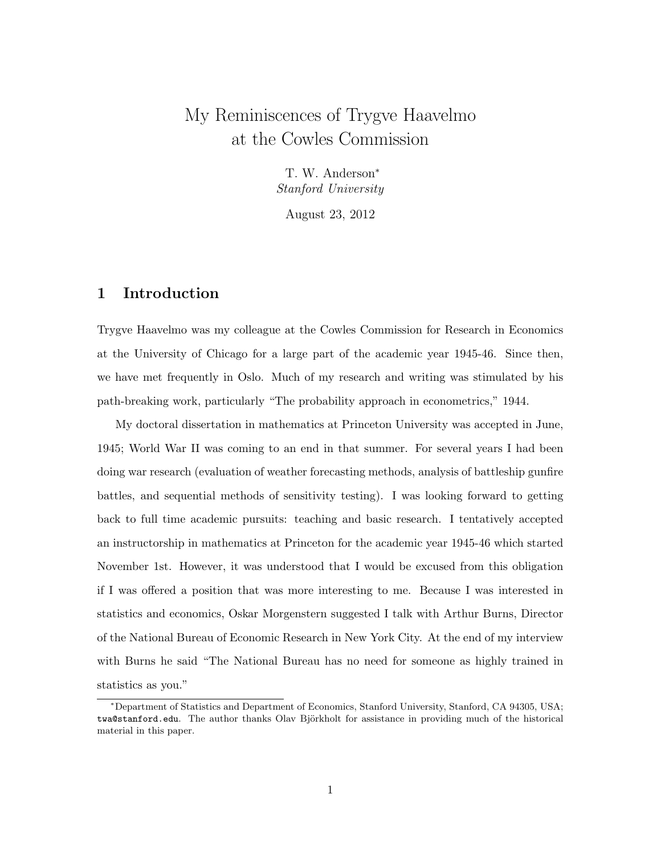# My Reminiscences of Trygve Haavelmo at the Cowles Commission

T. W. Anderson<sup>∗</sup> Stanford University

August 23, 2012

### 1 Introduction

Trygve Haavelmo was my colleague at the Cowles Commission for Research in Economics at the University of Chicago for a large part of the academic year 1945-46. Since then, we have met frequently in Oslo. Much of my research and writing was stimulated by his path-breaking work, particularly "The probability approach in econometrics," 1944.

My doctoral dissertation in mathematics at Princeton University was accepted in June, 1945; World War II was coming to an end in that summer. For several years I had been doing war research (evaluation of weather forecasting methods, analysis of battleship gunfire battles, and sequential methods of sensitivity testing). I was looking forward to getting back to full time academic pursuits: teaching and basic research. I tentatively accepted an instructorship in mathematics at Princeton for the academic year 1945-46 which started November 1st. However, it was understood that I would be excused from this obligation if I was offered a position that was more interesting to me. Because I was interested in statistics and economics, Oskar Morgenstern suggested I talk with Arthur Burns, Director of the National Bureau of Economic Research in New York City. At the end of my interview with Burns he said "The National Bureau has no need for someone as highly trained in statistics as you."

<sup>∗</sup>Department of Statistics and Department of Economics, Stanford University, Stanford, CA 94305, USA; twa@stanford.edu. The author thanks Olav Björkholt for assistance in providing much of the historical material in this paper.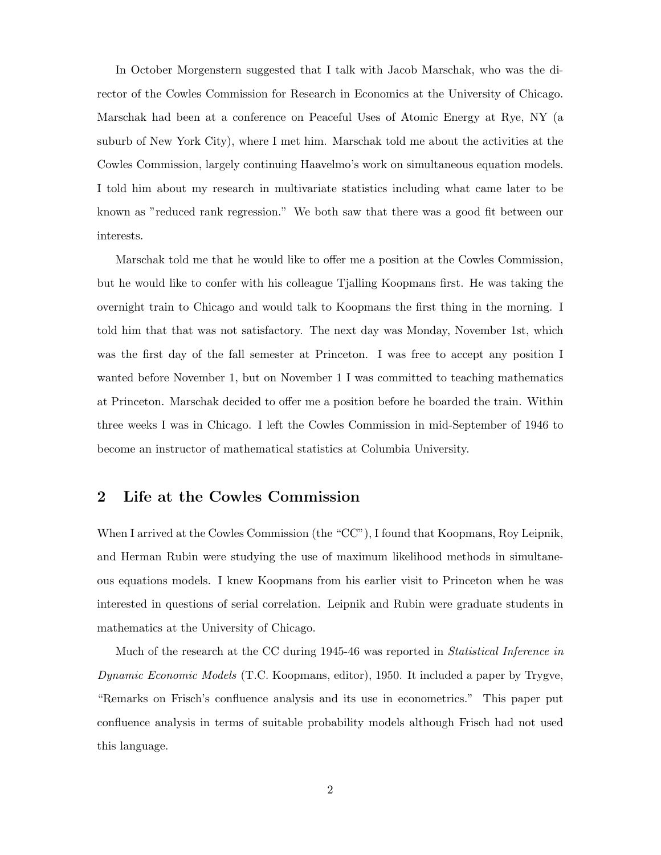In October Morgenstern suggested that I talk with Jacob Marschak, who was the director of the Cowles Commission for Research in Economics at the University of Chicago. Marschak had been at a conference on Peaceful Uses of Atomic Energy at Rye, NY (a suburb of New York City), where I met him. Marschak told me about the activities at the Cowles Commission, largely continuing Haavelmo's work on simultaneous equation models. I told him about my research in multivariate statistics including what came later to be known as "reduced rank regression." We both saw that there was a good fit between our interests.

Marschak told me that he would like to offer me a position at the Cowles Commission, but he would like to confer with his colleague Tjalling Koopmans first. He was taking the overnight train to Chicago and would talk to Koopmans the first thing in the morning. I told him that that was not satisfactory. The next day was Monday, November 1st, which was the first day of the fall semester at Princeton. I was free to accept any position I wanted before November 1, but on November 1 I was committed to teaching mathematics at Princeton. Marschak decided to offer me a position before he boarded the train. Within three weeks I was in Chicago. I left the Cowles Commission in mid-September of 1946 to become an instructor of mathematical statistics at Columbia University.

# 2 Life at the Cowles Commission

When I arrived at the Cowles Commission (the "CC"), I found that Koopmans, Roy Leipnik, and Herman Rubin were studying the use of maximum likelihood methods in simultaneous equations models. I knew Koopmans from his earlier visit to Princeton when he was interested in questions of serial correlation. Leipnik and Rubin were graduate students in mathematics at the University of Chicago.

Much of the research at the CC during 1945-46 was reported in Statistical Inference in Dynamic Economic Models (T.C. Koopmans, editor), 1950. It included a paper by Trygve, "Remarks on Frisch's confluence analysis and its use in econometrics." This paper put confluence analysis in terms of suitable probability models although Frisch had not used this language.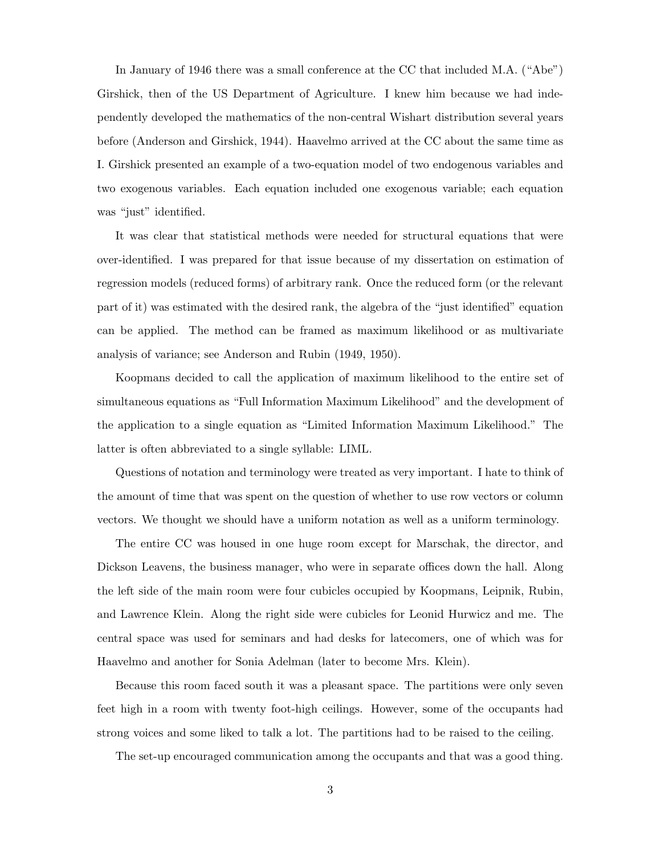In January of 1946 there was a small conference at the CC that included M.A. ("Abe") Girshick, then of the US Department of Agriculture. I knew him because we had independently developed the mathematics of the non-central Wishart distribution several years before (Anderson and Girshick, 1944). Haavelmo arrived at the CC about the same time as I. Girshick presented an example of a two-equation model of two endogenous variables and two exogenous variables. Each equation included one exogenous variable; each equation was "just" identified.

It was clear that statistical methods were needed for structural equations that were over-identified. I was prepared for that issue because of my dissertation on estimation of regression models (reduced forms) of arbitrary rank. Once the reduced form (or the relevant part of it) was estimated with the desired rank, the algebra of the "just identified" equation can be applied. The method can be framed as maximum likelihood or as multivariate analysis of variance; see Anderson and Rubin (1949, 1950).

Koopmans decided to call the application of maximum likelihood to the entire set of simultaneous equations as "Full Information Maximum Likelihood" and the development of the application to a single equation as "Limited Information Maximum Likelihood." The latter is often abbreviated to a single syllable: LIML.

Questions of notation and terminology were treated as very important. I hate to think of the amount of time that was spent on the question of whether to use row vectors or column vectors. We thought we should have a uniform notation as well as a uniform terminology.

The entire CC was housed in one huge room except for Marschak, the director, and Dickson Leavens, the business manager, who were in separate offices down the hall. Along the left side of the main room were four cubicles occupied by Koopmans, Leipnik, Rubin, and Lawrence Klein. Along the right side were cubicles for Leonid Hurwicz and me. The central space was used for seminars and had desks for latecomers, one of which was for Haavelmo and another for Sonia Adelman (later to become Mrs. Klein).

Because this room faced south it was a pleasant space. The partitions were only seven feet high in a room with twenty foot-high ceilings. However, some of the occupants had strong voices and some liked to talk a lot. The partitions had to be raised to the ceiling.

The set-up encouraged communication among the occupants and that was a good thing.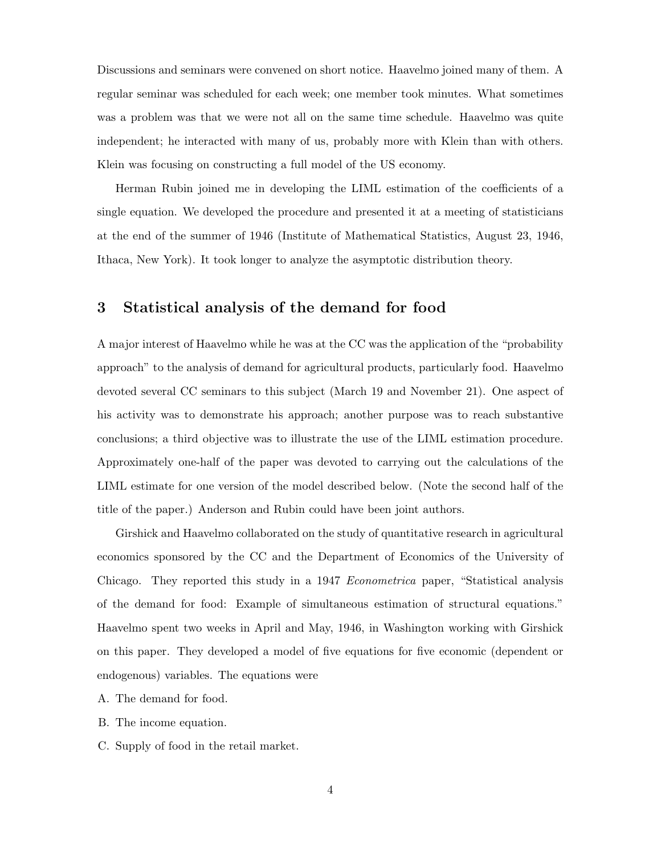Discussions and seminars were convened on short notice. Haavelmo joined many of them. A regular seminar was scheduled for each week; one member took minutes. What sometimes was a problem was that we were not all on the same time schedule. Haavelmo was quite independent; he interacted with many of us, probably more with Klein than with others. Klein was focusing on constructing a full model of the US economy.

Herman Rubin joined me in developing the LIML estimation of the coefficients of a single equation. We developed the procedure and presented it at a meeting of statisticians at the end of the summer of 1946 (Institute of Mathematical Statistics, August 23, 1946, Ithaca, New York). It took longer to analyze the asymptotic distribution theory.

# 3 Statistical analysis of the demand for food

A major interest of Haavelmo while he was at the CC was the application of the "probability approach" to the analysis of demand for agricultural products, particularly food. Haavelmo devoted several CC seminars to this subject (March 19 and November 21). One aspect of his activity was to demonstrate his approach; another purpose was to reach substantive conclusions; a third objective was to illustrate the use of the LIML estimation procedure. Approximately one-half of the paper was devoted to carrying out the calculations of the LIML estimate for one version of the model described below. (Note the second half of the title of the paper.) Anderson and Rubin could have been joint authors.

Girshick and Haavelmo collaborated on the study of quantitative research in agricultural economics sponsored by the CC and the Department of Economics of the University of Chicago. They reported this study in a 1947 Econometrica paper, "Statistical analysis of the demand for food: Example of simultaneous estimation of structural equations." Haavelmo spent two weeks in April and May, 1946, in Washington working with Girshick on this paper. They developed a model of five equations for five economic (dependent or endogenous) variables. The equations were

- A. The demand for food.
- B. The income equation.
- C. Supply of food in the retail market.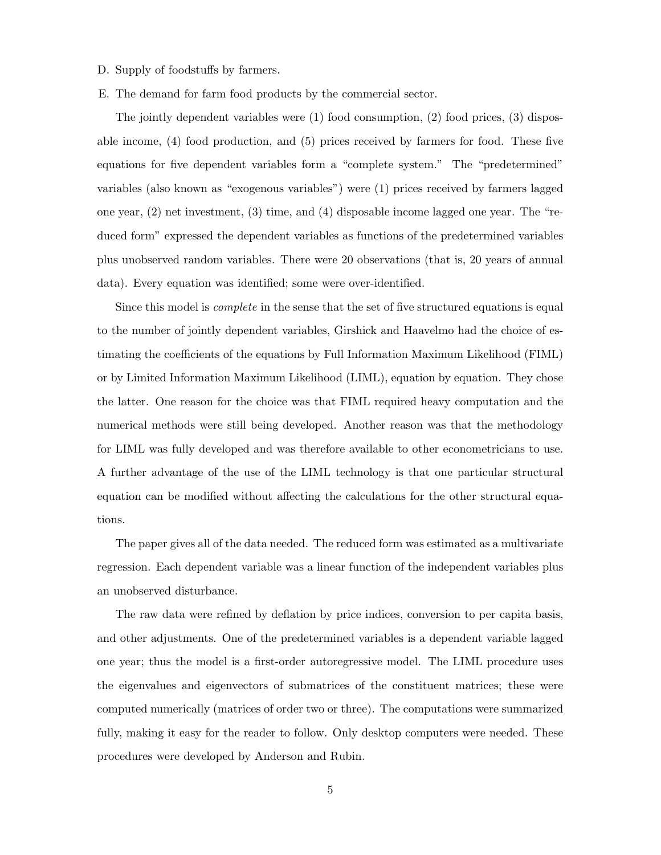- D. Supply of foodstuffs by farmers.
- E. The demand for farm food products by the commercial sector.

The jointly dependent variables were (1) food consumption, (2) food prices, (3) disposable income, (4) food production, and (5) prices received by farmers for food. These five equations for five dependent variables form a "complete system." The "predetermined" variables (also known as "exogenous variables") were (1) prices received by farmers lagged one year, (2) net investment, (3) time, and (4) disposable income lagged one year. The "reduced form" expressed the dependent variables as functions of the predetermined variables plus unobserved random variables. There were 20 observations (that is, 20 years of annual data). Every equation was identified; some were over-identified.

Since this model is complete in the sense that the set of five structured equations is equal to the number of jointly dependent variables, Girshick and Haavelmo had the choice of estimating the coefficients of the equations by Full Information Maximum Likelihood (FIML) or by Limited Information Maximum Likelihood (LIML), equation by equation. They chose the latter. One reason for the choice was that FIML required heavy computation and the numerical methods were still being developed. Another reason was that the methodology for LIML was fully developed and was therefore available to other econometricians to use. A further advantage of the use of the LIML technology is that one particular structural equation can be modified without affecting the calculations for the other structural equations.

The paper gives all of the data needed. The reduced form was estimated as a multivariate regression. Each dependent variable was a linear function of the independent variables plus an unobserved disturbance.

The raw data were refined by deflation by price indices, conversion to per capita basis, and other adjustments. One of the predetermined variables is a dependent variable lagged one year; thus the model is a first-order autoregressive model. The LIML procedure uses the eigenvalues and eigenvectors of submatrices of the constituent matrices; these were computed numerically (matrices of order two or three). The computations were summarized fully, making it easy for the reader to follow. Only desktop computers were needed. These procedures were developed by Anderson and Rubin.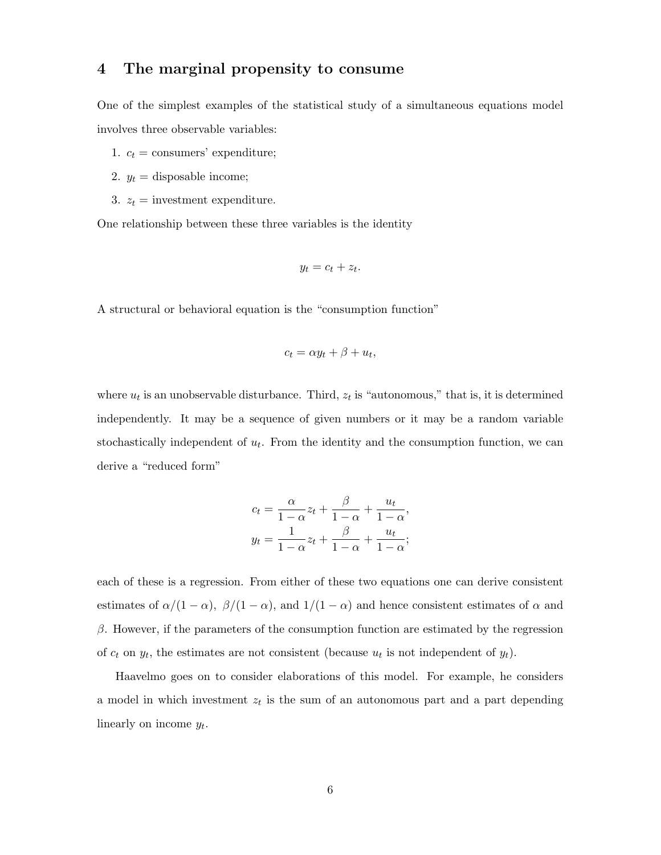### 4 The marginal propensity to consume

One of the simplest examples of the statistical study of a simultaneous equations model involves three observable variables:

- 1.  $c_t$  = consumers' expenditure;
- 2.  $y_t =$  disposable income;
- 3.  $z_t =$  investment expenditure.

One relationship between these three variables is the identity

$$
y_t = c_t + z_t.
$$

A structural or behavioral equation is the "consumption function"

$$
c_t = \alpha y_t + \beta + u_t,
$$

where  $u_t$  is an unobservable disturbance. Third,  $z_t$  is "autonomous," that is, it is determined independently. It may be a sequence of given numbers or it may be a random variable stochastically independent of  $u_t$ . From the identity and the consumption function, we can derive a "reduced form"

$$
c_t = \frac{\alpha}{1 - \alpha} z_t + \frac{\beta}{1 - \alpha} + \frac{u_t}{1 - \alpha},
$$
  

$$
y_t = \frac{1}{1 - \alpha} z_t + \frac{\beta}{1 - \alpha} + \frac{u_t}{1 - \alpha};
$$

each of these is a regression. From either of these two equations one can derive consistent estimates of  $\alpha/(1-\alpha)$ ,  $\beta/(1-\alpha)$ , and  $1/(1-\alpha)$  and hence consistent estimates of  $\alpha$  and  $\beta$ . However, if the parameters of the consumption function are estimated by the regression of  $c_t$  on  $y_t$ , the estimates are not consistent (because  $u_t$  is not independent of  $y_t$ ).

Haavelmo goes on to consider elaborations of this model. For example, he considers a model in which investment  $z_t$  is the sum of an autonomous part and a part depending linearly on income  $y_t$ .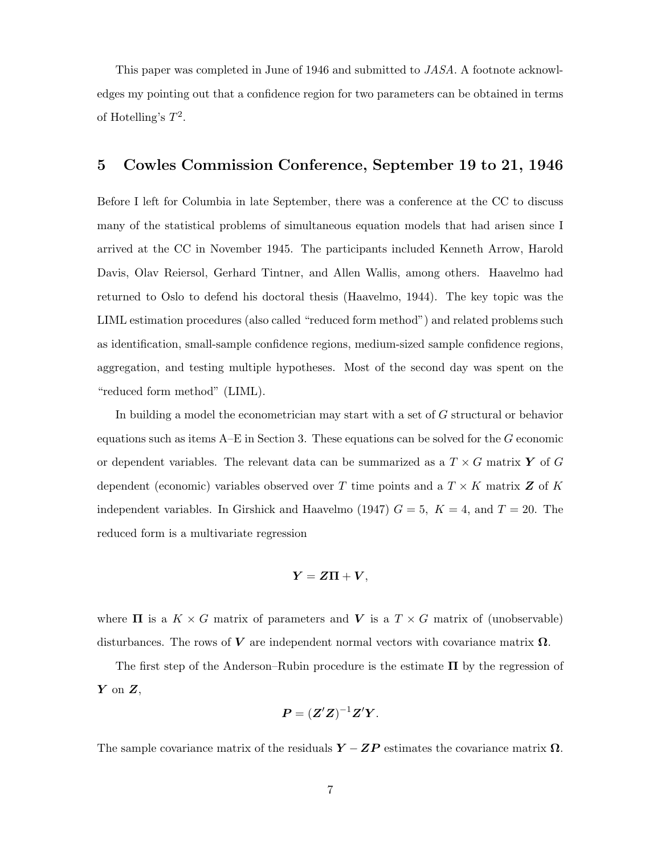This paper was completed in June of 1946 and submitted to JASA. A footnote acknowledges my pointing out that a confidence region for two parameters can be obtained in terms of Hotelling's  $T^2$ .

### 5 Cowles Commission Conference, September 19 to 21, 1946

Before I left for Columbia in late September, there was a conference at the CC to discuss many of the statistical problems of simultaneous equation models that had arisen since I arrived at the CC in November 1945. The participants included Kenneth Arrow, Harold Davis, Olav Reiersol, Gerhard Tintner, and Allen Wallis, among others. Haavelmo had returned to Oslo to defend his doctoral thesis (Haavelmo, 1944). The key topic was the LIML estimation procedures (also called "reduced form method") and related problems such as identification, small-sample confidence regions, medium-sized sample confidence regions, aggregation, and testing multiple hypotheses. Most of the second day was spent on the "reduced form method" (LIML).

In building a model the econometrician may start with a set of G structural or behavior equations such as items  $A-E$  in Section 3. These equations can be solved for the G economic or dependent variables. The relevant data can be summarized as a  $T \times G$  matrix Y of G dependent (economic) variables observed over T time points and a  $T \times K$  matrix Z of K independent variables. In Girshick and Haavelmo (1947)  $G = 5$ ,  $K = 4$ , and  $T = 20$ . The reduced form is a multivariate regression

$$
Y = Z\Pi + V,
$$

where  $\Pi$  is a  $K \times G$  matrix of parameters and V is a  $T \times G$  matrix of (unobservable) disturbances. The rows of  $V$  are independent normal vectors with covariance matrix  $\Omega$ .

The first step of the Anderson–Rubin procedure is the estimate  $\Pi$  by the regression of  $Y$  on  $Z$ ,

$$
P = (Z'Z)^{-1}Z'Y.
$$

The sample covariance matrix of the residuals  $Y - ZP$  estimates the covariance matrix  $\Omega$ .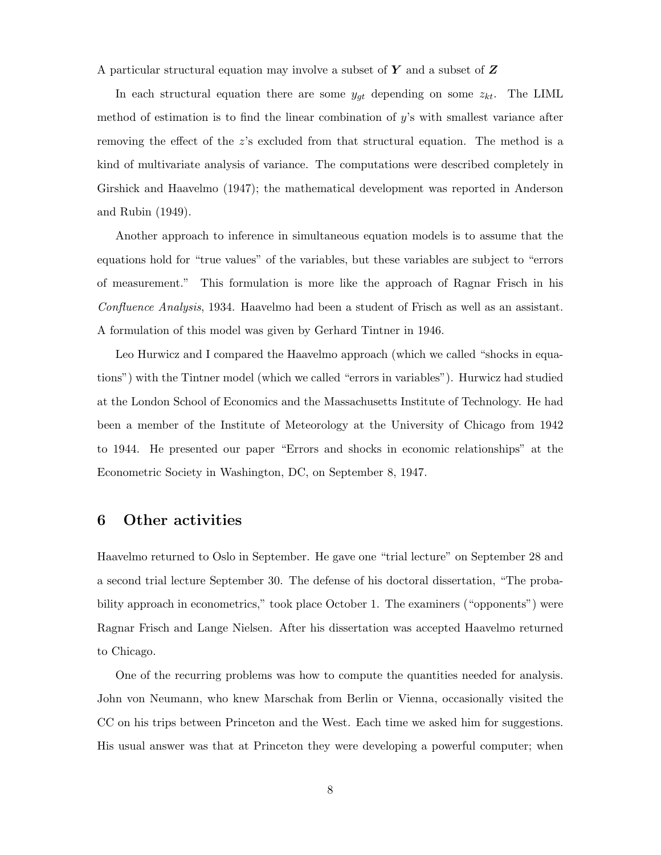A particular structural equation may involve a subset of  $Y$  and a subset of  $Z$ 

In each structural equation there are some  $y_{gt}$  depending on some  $z_{kt}$ . The LIML method of estimation is to find the linear combination of  $y$ 's with smallest variance after removing the effect of the z's excluded from that structural equation. The method is a kind of multivariate analysis of variance. The computations were described completely in Girshick and Haavelmo (1947); the mathematical development was reported in Anderson and Rubin (1949).

Another approach to inference in simultaneous equation models is to assume that the equations hold for "true values" of the variables, but these variables are subject to "errors of measurement." This formulation is more like the approach of Ragnar Frisch in his Confluence Analysis, 1934. Haavelmo had been a student of Frisch as well as an assistant. A formulation of this model was given by Gerhard Tintner in 1946.

Leo Hurwicz and I compared the Haavelmo approach (which we called "shocks in equations") with the Tintner model (which we called "errors in variables"). Hurwicz had studied at the London School of Economics and the Massachusetts Institute of Technology. He had been a member of the Institute of Meteorology at the University of Chicago from 1942 to 1944. He presented our paper "Errors and shocks in economic relationships" at the Econometric Society in Washington, DC, on September 8, 1947.

#### 6 Other activities

Haavelmo returned to Oslo in September. He gave one "trial lecture" on September 28 and a second trial lecture September 30. The defense of his doctoral dissertation, "The probability approach in econometrics," took place October 1. The examiners ("opponents") were Ragnar Frisch and Lange Nielsen. After his dissertation was accepted Haavelmo returned to Chicago.

One of the recurring problems was how to compute the quantities needed for analysis. John von Neumann, who knew Marschak from Berlin or Vienna, occasionally visited the CC on his trips between Princeton and the West. Each time we asked him for suggestions. His usual answer was that at Princeton they were developing a powerful computer; when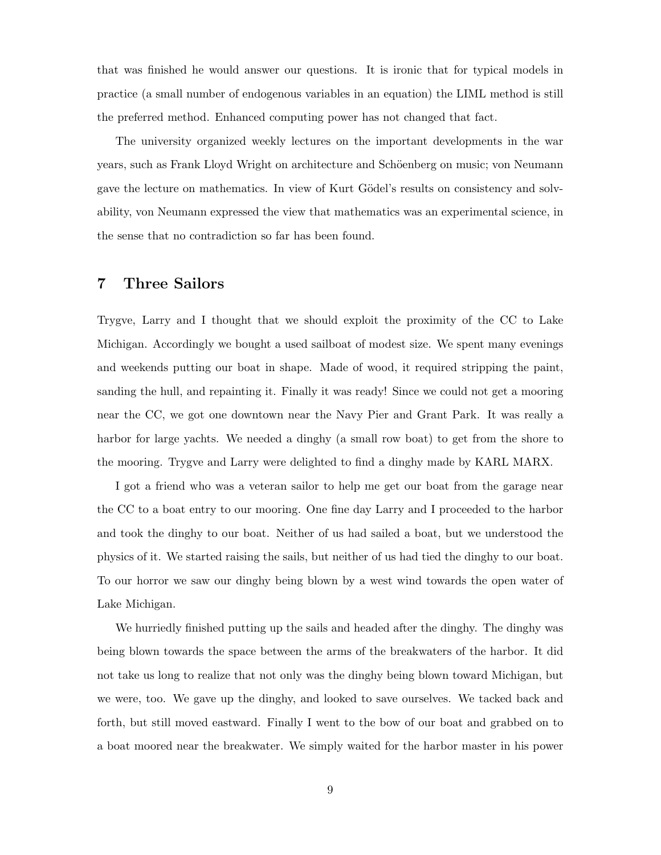that was finished he would answer our questions. It is ironic that for typical models in practice (a small number of endogenous variables in an equation) the LIML method is still the preferred method. Enhanced computing power has not changed that fact.

The university organized weekly lectures on the important developments in the war years, such as Frank Lloyd Wright on architecture and Schöenberg on music; von Neumann gave the lecture on mathematics. In view of Kurt Gödel's results on consistency and solvability, von Neumann expressed the view that mathematics was an experimental science, in the sense that no contradiction so far has been found.

#### 7 Three Sailors

Trygve, Larry and I thought that we should exploit the proximity of the CC to Lake Michigan. Accordingly we bought a used sailboat of modest size. We spent many evenings and weekends putting our boat in shape. Made of wood, it required stripping the paint, sanding the hull, and repainting it. Finally it was ready! Since we could not get a mooring near the CC, we got one downtown near the Navy Pier and Grant Park. It was really a harbor for large yachts. We needed a dinghy (a small row boat) to get from the shore to the mooring. Trygve and Larry were delighted to find a dinghy made by KARL MARX.

I got a friend who was a veteran sailor to help me get our boat from the garage near the CC to a boat entry to our mooring. One fine day Larry and I proceeded to the harbor and took the dinghy to our boat. Neither of us had sailed a boat, but we understood the physics of it. We started raising the sails, but neither of us had tied the dinghy to our boat. To our horror we saw our dinghy being blown by a west wind towards the open water of Lake Michigan.

We hurriedly finished putting up the sails and headed after the dinghy. The dinghy was being blown towards the space between the arms of the breakwaters of the harbor. It did not take us long to realize that not only was the dinghy being blown toward Michigan, but we were, too. We gave up the dinghy, and looked to save ourselves. We tacked back and forth, but still moved eastward. Finally I went to the bow of our boat and grabbed on to a boat moored near the breakwater. We simply waited for the harbor master in his power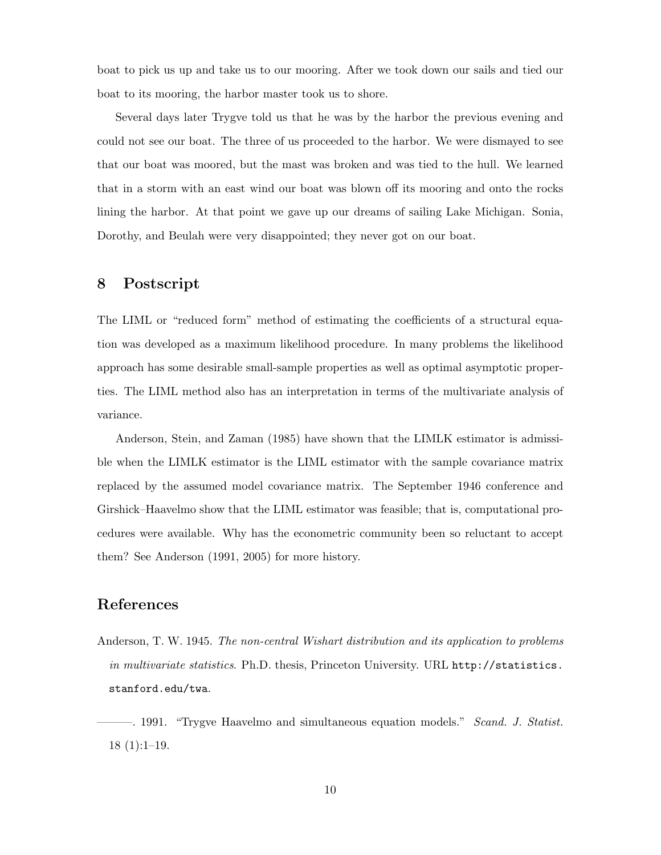boat to pick us up and take us to our mooring. After we took down our sails and tied our boat to its mooring, the harbor master took us to shore.

Several days later Trygve told us that he was by the harbor the previous evening and could not see our boat. The three of us proceeded to the harbor. We were dismayed to see that our boat was moored, but the mast was broken and was tied to the hull. We learned that in a storm with an east wind our boat was blown off its mooring and onto the rocks lining the harbor. At that point we gave up our dreams of sailing Lake Michigan. Sonia, Dorothy, and Beulah were very disappointed; they never got on our boat.

### 8 Postscript

The LIML or "reduced form" method of estimating the coefficients of a structural equation was developed as a maximum likelihood procedure. In many problems the likelihood approach has some desirable small-sample properties as well as optimal asymptotic properties. The LIML method also has an interpretation in terms of the multivariate analysis of variance.

Anderson, Stein, and Zaman (1985) have shown that the LIMLK estimator is admissible when the LIMLK estimator is the LIML estimator with the sample covariance matrix replaced by the assumed model covariance matrix. The September 1946 conference and Girshick–Haavelmo show that the LIML estimator was feasible; that is, computational procedures were available. Why has the econometric community been so reluctant to accept them? See Anderson (1991, 2005) for more history.

# References

Anderson, T. W. 1945. The non-central Wishart distribution and its application to problems in multivariate statistics. Ph.D. thesis, Princeton University. URL http://statistics. stanford.edu/twa.

<sup>——. 1991. &</sup>quot;Trygve Haavelmo and simultaneous equation models." Scand. J. Statist. 18 (1):1–19.